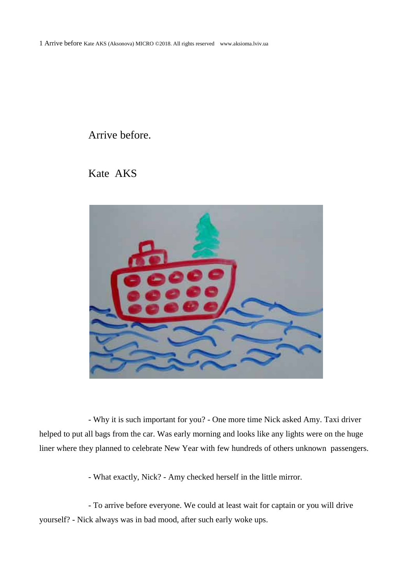## Arrive before.

Kate AKS



- Why it is such important for you? - One more time Nick asked Amy. Taxi driver helped to put all bags from the car. Was early morning and looks like any lights were on the huge liner where they planned to celebrate New Year with few hundreds of others unknown passengers.

- What exactly, Nick? - Amy checked herself in the little mirror.

- To arrive before everyone. We could at least wait for captain or you will drive yourself? - Nick always was in bad mood, after such early woke ups.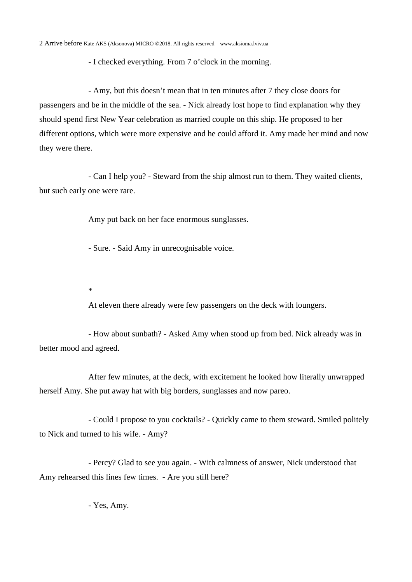- I checked everything. From 7 o'clock in the morning.

- Amy, but this doesn't mean that in ten minutes after 7 they close doors for passengers and be in the middle of the sea. - Nick already lost hope to find explanation why they should spend first New Year celebration as married couple on this ship. He proposed to her different options, which were more expensive and he could afford it. Amy made her mind and now they were there.

- Can I help you? - Steward from the ship almost run to them. They waited clients, but such early one were rare.

Amy put back on her face enormous sunglasses.

- Sure. - Said Amy in unrecognisable voice.

\*

At eleven there already were few passengers on the deck with loungers.

- How about sunbath? - Asked Amy when stood up from bed. Nick already was in better mood and agreed.

After few minutes, at the deck, with excitement he looked how literally unwrapped herself Amy. She put away hat with big borders, sunglasses and now pareo.

- Could I propose to you cocktails? - Quickly came to them steward. Smiled politely to Nick and turned to his wife. - Amy?

- Percy? Glad to see you again. - With calmness of answer, Nick understood that Amy rehearsed this lines few times. - Are you still here?

- Yes, Amy.